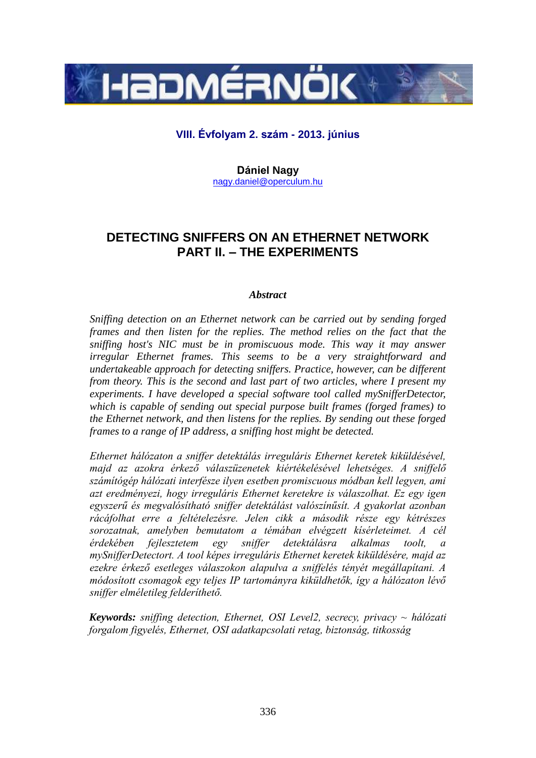

## **VIII. Évfolyam 2. szám - 2013. június**

**Dániel Nagy** [nagy.daniel@operculum.hu](mailto:nagy.daniel@operculum.hu)

# **DETECTING SNIFFERS ON AN ETHERNET NETWORK PART II. – THE EXPERIMENTS**

## *Abstract*

*Sniffing detection on an Ethernet network can be carried out by sending forged frames and then listen for the replies. The method relies on the fact that the sniffing host's NIC must be in promiscuous mode. This way it may answer irregular Ethernet frames. This seems to be a very straightforward and undertakeable approach for detecting sniffers. Practice, however, can be different from theory. This is the second and last part of two articles, where I present my experiments. I have developed a special software tool called mySnifferDetector, which is capable of sending out special purpose built frames (forged frames) to the Ethernet network, and then listens for the replies. By sending out these forged frames to a range of IP address, a sniffing host might be detected.*

*Ethernet hálózaton a sniffer detektálás irreguláris Ethernet keretek kiküldésével, majd az azokra érkező válaszüzenetek kiértékelésével lehetséges. A sniffelő számítógép hálózati interfésze ilyen esetben promiscuous módban kell legyen, ami azt eredményezi, hogy irreguláris Ethernet keretekre is válaszolhat. Ez egy igen egyszerű és megvalósítható sniffer detektálást valószínűsít. A gyakorlat azonban rácáfolhat erre a feltételezésre. Jelen cikk a második része egy kétrészes sorozatnak, amelyben bemutatom a témában elvégzett kísérleteimet. A cél érdekében fejlesztetem egy sniffer detektálásra alkalmas toolt, a mySnifferDetectort. A tool képes irreguláris Ethernet keretek kiküldésére, majd az ezekre érkező esetleges válaszokon alapulva a sniffelés tényét megállapítani. A módosított csomagok egy teljes IP tartományra kiküldhetők, így a hálózaton lévő sniffer elméletileg felderíthető.*

*Keywords: sniffing detection, Ethernet, OSI Level2, secrecy, privacy ~ hálózati forgalom figyelés, Ethernet, OSI adatkapcsolati retag, biztonság, titkosság*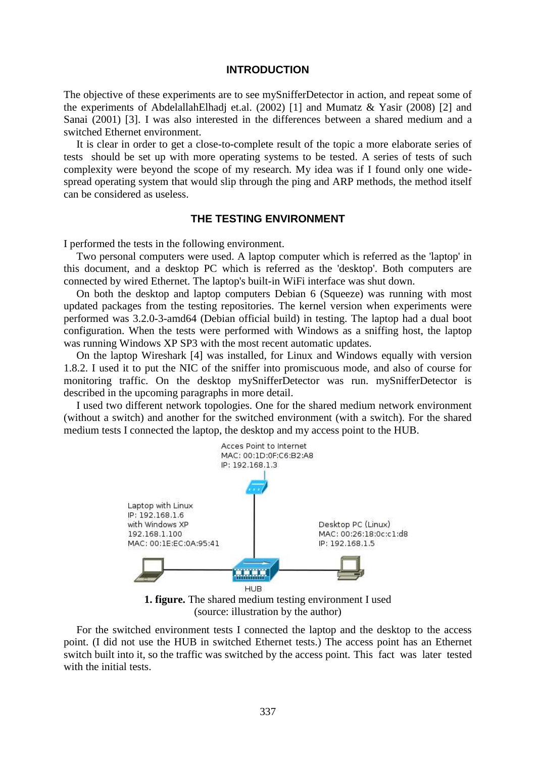#### **INTRODUCTION**

The objective of these experiments are to see mySnifferDetector in action, and repeat some of the experiments of AbdelallahElhadj et.al. (2002) [1] and Mumatz & Yasir (2008) [2] and Sanai (2001) [3]. I was also interested in the differences between a shared medium and a switched Ethernet environment.

It is clear in order to get a close-to-complete result of the topic a more elaborate series of tests should be set up with more operating systems to be tested. A series of tests of such complexity were beyond the scope of my research. My idea was if I found only one widespread operating system that would slip through the ping and ARP methods, the method itself can be considered as useless.

## **THE TESTING ENVIRONMENT**

I performed the tests in the following environment.

Two personal computers were used. A laptop computer which is referred as the 'laptop' in this document, and a desktop PC which is referred as the 'desktop'. Both computers are connected by wired Ethernet. The laptop's built-in WiFi interface was shut down.

On both the desktop and laptop computers Debian 6 (Squeeze) was running with most updated packages from the testing repositories. The kernel version when experiments were performed was 3.2.0-3-amd64 (Debian official build) in testing. The laptop had a dual boot configuration. When the tests were performed with Windows as a sniffing host, the laptop was running Windows XP SP3 with the most recent automatic updates.

On the laptop Wireshark [4] was installed, for Linux and Windows equally with version 1.8.2. I used it to put the NIC of the sniffer into promiscuous mode, and also of course for monitoring traffic. On the desktop mySnifferDetector was run. mySnifferDetector is described in the upcoming paragraphs in more detail.

I used two different network topologies. One for the shared medium network environment (without a switch) and another for the switched environment (with a switch). For the shared medium tests I connected the laptop, the desktop and my access point to the HUB.



**1. figure.** The shared medium testing environment I used (source: illustration by the author)

For the switched environment tests I connected the laptop and the desktop to the access point. (I did not use the HUB in switched Ethernet tests.) The access point has an Ethernet switch built into it, so the traffic was switched by the access point. This fact was later tested with the initial tests.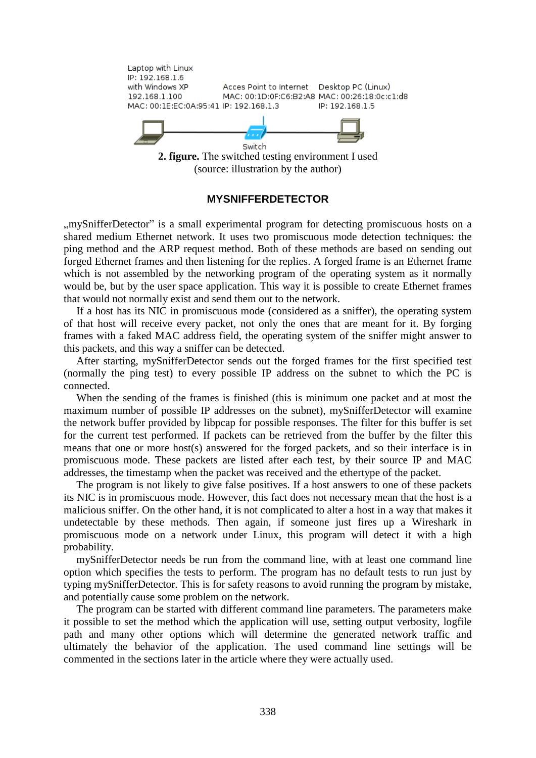

#### **MYSNIFFERDETECTOR**

..mvSnifferDetector" is a small experimental program for detecting promiscuous hosts on a shared medium Ethernet network. It uses two promiscuous mode detection techniques: the ping method and the ARP request method. Both of these methods are based on sending out forged Ethernet frames and then listening for the replies. A forged frame is an Ethernet frame which is not assembled by the networking program of the operating system as it normally would be, but by the user space application. This way it is possible to create Ethernet frames that would not normally exist and send them out to the network.

If a host has its NIC in promiscuous mode (considered as a sniffer), the operating system of that host will receive every packet, not only the ones that are meant for it. By forging frames with a faked MAC address field, the operating system of the sniffer might answer to this packets, and this way a sniffer can be detected.

After starting, mySnifferDetector sends out the forged frames for the first specified test (normally the ping test) to every possible IP address on the subnet to which the PC is connected.

When the sending of the frames is finished (this is minimum one packet and at most the maximum number of possible IP addresses on the subnet), mySnifferDetector will examine the network buffer provided by libpcap for possible responses. The filter for this buffer is set for the current test performed. If packets can be retrieved from the buffer by the filter this means that one or more host(s) answered for the forged packets, and so their interface is in promiscuous mode. These packets are listed after each test, by their source IP and MAC addresses, the timestamp when the packet was received and the ethertype of the packet.

The program is not likely to give false positives. If a host answers to one of these packets its NIC is in promiscuous mode. However, this fact does not necessary mean that the host is a malicious sniffer. On the other hand, it is not complicated to alter a host in a way that makes it undetectable by these methods. Then again, if someone just fires up a Wireshark in promiscuous mode on a network under Linux, this program will detect it with a high probability.

mySnifferDetector needs be run from the command line, with at least one command line option which specifies the tests to perform. The program has no default tests to run just by typing mySnifferDetector. This is for safety reasons to avoid running the program by mistake, and potentially cause some problem on the network.

The program can be started with different command line parameters. The parameters make it possible to set the method which the application will use, setting output verbosity, logfile path and many other options which will determine the generated network traffic and ultimately the behavior of the application. The used command line settings will be commented in the sections later in the article where they were actually used.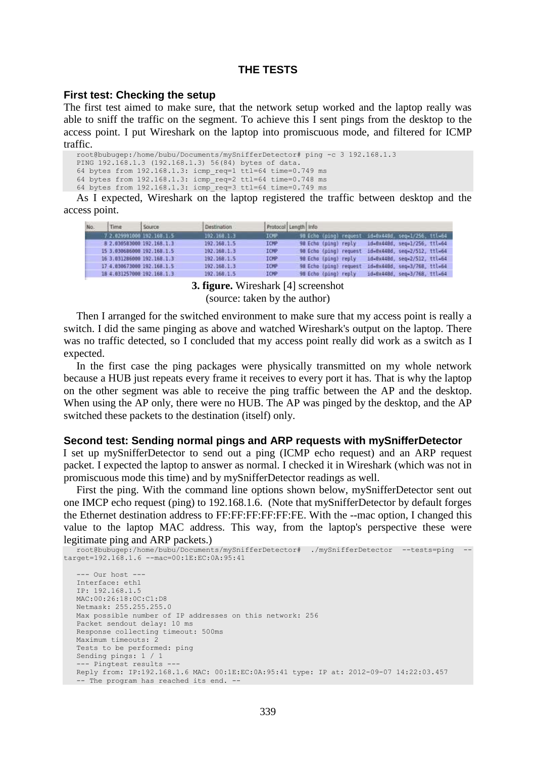## **THE TESTS**

#### **First test: Checking the setup**

The first test aimed to make sure, that the network setup worked and the laptop really was able to sniff the traffic on the segment. To achieve this I sent pings from the desktop to the access point. I put Wireshark on the laptop into promiscuous mode, and filtered for ICMP traffic.

root@bubugep:/home/bubu/Documents/mySnifferDetector# ping -c 3 192.168.1.3 PING 192.168.1.3 (192.168.1.3) 56(84) bytes of data. 64 bytes from 192.168.1.3: icmp\_req=1 ttl=64 time=0.749 ms 64 bytes from 192.168.1.3: icmp\_req=2 ttl=64 time=0.748 ms 64 bytes from 192.168.1.3: icmp\_req=3 ttl=64 time=0.749 ms

As I expected, Wireshark on the laptop registered the traffic between desktop and the access point.

| No. | Time                      | Source.                    | Destination   | Protocol Length Info |                                                        |
|-----|---------------------------|----------------------------|---------------|----------------------|--------------------------------------------------------|
|     | 7 2.029991000 192.168.1.5 |                            | 192.168.1.3   | ICMP:                | 90 Echo (ping) request id=0x440d, seg=1/256, 1tl=64    |
|     |                           | 8 2.030583000 192.168.1.3  | 192, 168, 1.5 | <b>ICMP</b>          | id=0x448d, seq=1/256, ttl=64<br>98 Echo (ping) reply   |
|     |                           | 15 3.030686008 192.168.1.5 | 192.168.1.3   | ICMP                 | id=0x448d, seq=2/512, ttl=64<br>98 Echo (ping) request |
|     |                           | 16 3.031286000 192.168.1.3 | 192.168.1.5   | ICMP                 | 10-8x448d, seq=2/512, ttl=64<br>98 Echo (ping) reply   |
|     |                           | 17 4.030673000 192.168.1.5 | 192, 168, 1.3 | <b>ICMP</b>          | 98 Echo (ping) request<br>1d=8x448d, seq=3/768, ttl=54 |
|     |                           | 18 4:031257000 192.168.1.3 | 192.168.1.5   | ICMP                 | id=8x448d, seq=3/768, ttl=64<br>98 Echo (ping) reply   |

**3. figure.** Wireshark [4] screenshot (source: taken by the author)

Then I arranged for the switched environment to make sure that my access point is really a switch. I did the same pinging as above and watched Wireshark's output on the laptop. There was no traffic detected, so I concluded that my access point really did work as a switch as I expected.

In the first case the ping packages were physically transmitted on my whole network because a HUB just repeats every frame it receives to every port it has. That is why the laptop on the other segment was able to receive the ping traffic between the AP and the desktop. When using the AP only, there were no HUB. The AP was pinged by the desktop, and the AP switched these packets to the destination (itself) only.

#### **Second test: Sending normal pings and ARP requests with mySnifferDetector**

I set up mySnifferDetector to send out a ping (ICMP echo request) and an ARP request packet. I expected the laptop to answer as normal. I checked it in Wireshark (which was not in promiscuous mode this time) and by mySnifferDetector readings as well.

First the ping. With the command line options shown below, mySnifferDetector sent out one IMCP echo request (ping) to 192.168.1.6. (Note that mySnifferDetector by default forges the Ethernet destination address to FF:FF:FF:FF:FF:FE. With the --mac option, I changed this value to the laptop MAC address. This way, from the laptop's perspective these were legitimate ping and ARP packets.)

```
root@bubugep:/home/bubu/Documents/mySnifferDetector# ./mySnifferDetector --tests=ping --
target=192.168.1.6 --mac=00:1E:EC:0A:95:41
   --- Our host ---
  Interface: eth1
   IP: 192.168.1.5
  MAC:00:26:18:0C:C1:D8
  Netmask: 255.255.255.0
  Max possible number of IP addresses on this network: 256
  Packet sendout delay: 10 ms
  Response collecting timeout: 500ms
  Maximum timeouts: 2
  Tests to be performed: ping 
  Sending pings: 1 / 1
   --- Pingtest results ---
  Reply from: IP:192.168.1.6 MAC: 00:1E:EC:0A:95:41 type: IP at: 2012-09-07 14:22:03.457
  -- The program has reached its end. --
```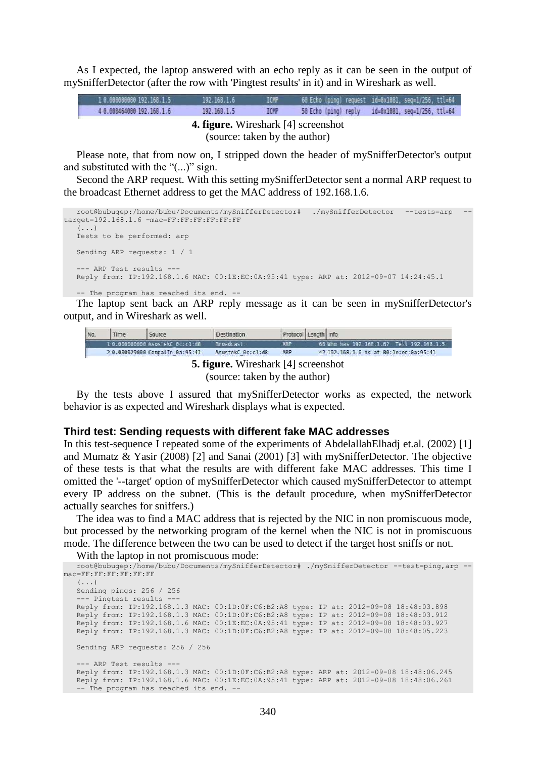As I expected, the laptop answered with an echo reply as it can be seen in the output of mySnifferDetector (after the row with 'Pingtest results' in it) and in Wireshark as well.

| 1 8.08000000 192.168.1.5                                                    | 192, 168, 1, 6 | <b>ICNP</b> |                      | 60 Echo (ping) request id=8x1881, seg=1/256, ttl=64 |  |
|-----------------------------------------------------------------------------|----------------|-------------|----------------------|-----------------------------------------------------|--|
| 4 8.080464080 192.168.1.6                                                   | 192, 168, 1.5  | <b>ICMP</b> | 50 Echo (ping) reply | id=0x1081, seq=1/256, ttl=64                        |  |
| <b>4. figure.</b> Wireshark [4] screenshot<br>(source: taken by the author) |                |             |                      |                                                     |  |

Please note, that from now on, I stripped down the header of mySnifferDetector's output and substituted with the "(...)" sign.

Second the ARP request. With this setting mySnifferDetector sent a normal ARP request to the broadcast Ethernet address to get the MAC address of 192.168.1.6.

```
root@bubugep:/home/bubu/Documents/mySnifferDetector# ./mySnifferDetector --tests=arp --
target=192.168.1.6 –mac=FF:FF:FF:FF:FF:FF
   (...)
  Tests to be performed: arp 
  Sending ARP requests: 1 / 1
   --- ARP Test results ---
  Reply from: IP:192.168.1.6 MAC: 00:1E:EC:0A:95:41 type: ARP at: 2012-09-07 14:24:45.1
   -- The program has reached its end. --
```
The laptop sent back an ARP reply message as it can be seen in mySnifferDetector's output, and in Wireshark as well.

| No. | Time | Source                          | Destination       | Protocol Length Info |                                              |
|-----|------|---------------------------------|-------------------|----------------------|----------------------------------------------|
|     |      | 10.000000000 AsustekC Bc:cl:dB  | <b>Renadeast</b>  | ARP                  | 68 Who has 192, 168, 1.67 Tell 192, 168, 1.5 |
|     |      | 2 0.000029000 CompalIn 0a:95:41 | AsustekC 0c:cl:d8 | ARP                  | 42 192.168.1.6 is at 00:1e:ec:8a:95:41       |

**5. figure.** Wireshark [4] screenshot (source: taken by the author)

By the tests above I assured that mySnifferDetector works as expected, the network behavior is as expected and Wireshark displays what is expected.

#### **Third test: Sending requests with different fake MAC addresses**

In this test-sequence I repeated some of the experiments of AbdelallahElhadj et.al. (2002) [1] and Mumatz & Yasir (2008) [2] and Sanai (2001) [3] with mySnifferDetector. The objective of these tests is that what the results are with different fake MAC addresses. This time I omitted the '--target' option of mySnifferDetector which caused mySnifferDetector to attempt every IP address on the subnet. (This is the default procedure, when mySnifferDetector actually searches for sniffers.)

The idea was to find a MAC address that is rejected by the NIC in non promiscuous mode, but processed by the networking program of the kernel when the NIC is not in promiscuous mode. The difference between the two can be used to detect if the target host sniffs or not.

With the laptop in not promiscuous mode:

```
root@bubugep:/home/bubu/Documents/mySnifferDetector# ./mySnifferDetector --test=ping,arp --
mac=FF:FF:FF:FF:FF:FF
   (...)
   Sending pings: 256 / 256
   --- Pingtest results ---
   Reply from: IP:192.168.1.3 MAC: 00:1D:0F:C6:B2:A8 type: IP at: 2012-09-08 18:48:03.898
   Reply from: IP:192.168.1.3 MAC: 00:1D:0F:C6:B2:A8 type: IP at: 2012-09-08 18:48:03.912
   Reply from: IP:192.168.1.6 MAC: 00:1E:EC:0A:95:41 type: IP at: 2012-09-08 18:48:03.927
   Reply from: IP:192.168.1.3 MAC: 00:1D:0F:C6:B2:A8 type: IP at: 2012-09-08 18:48:05.223
   Sending ARP requests: 256 / 256
   --- ARP Test results ---
   Reply from: IP:192.168.1.3 MAC: 00:1D:0F:C6:B2:A8 type: ARP at: 2012-09-08 18:48:06.245
   Reply from: IP:192.168.1.6 MAC: 00:1E:EC:0A:95:41 type: ARP at: 2012-09-08 18:48:06.261
   -- The program has reached its end. --
```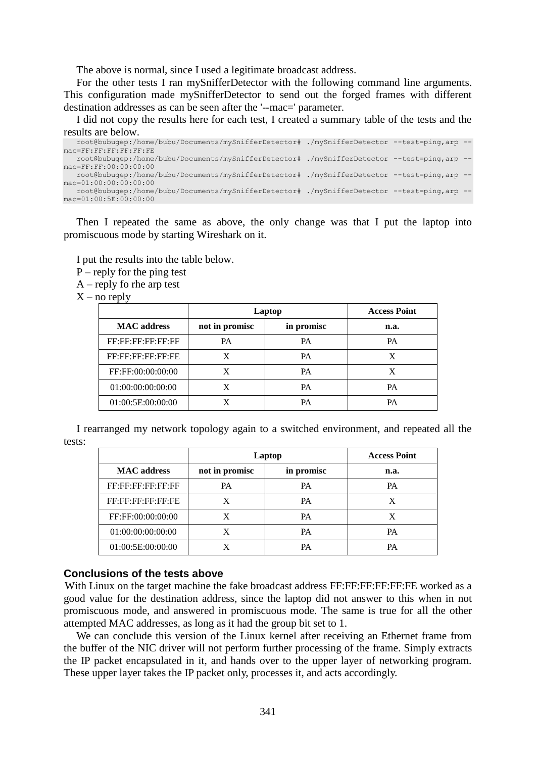The above is normal, since I used a legitimate broadcast address.

For the other tests I ran mySnifferDetector with the following command line arguments. This configuration made mySnifferDetector to send out the forged frames with different destination addresses as can be seen after the '--mac=' parameter.

I did not copy the results here for each test, I created a summary table of the tests and the results are below.

| root@bubuqep:/home/bubu/Documents/mySnifferDetector#./mySnifferDetector --test=ping,arp --  |  |  |
|---------------------------------------------------------------------------------------------|--|--|
| $mac = FF : FF : FF : FF : FF : FF : FF$                                                    |  |  |
| root@bubuqep:/home/bubu/Documents/mySnifferDetector# ./mySnifferDetector --test=ping,arp -- |  |  |
| $mac = FF : FF : 00 : 00 : 00 : 00$                                                         |  |  |
| root@bubuqep:/home/bubu/Documents/mySnifferDetector# ./mySnifferDetector --test=ping,arp -- |  |  |
| $mac=01:00:00:00:00:00$                                                                     |  |  |
| root@bubuqep:/home/bubu/Documents/mySnifferDetector#./mySnifferDetector --test=ping,arp --  |  |  |
| $mac=01:00:5E:00:00:00$                                                                     |  |  |

Then I repeated the same as above, the only change was that I put the laptop into promiscuous mode by starting Wireshark on it.

I put the results into the table below.

 $P$  – reply for the ping test

A – reply fo rhe arp test

 $X$  – no reply

|                    | Laptop         | <b>Access Point</b> |      |
|--------------------|----------------|---------------------|------|
| <b>MAC</b> address | not in promisc | in promisc          | n.a. |
| FF:FF:FF:FF:FF:FF  | PA             | <b>PA</b>           | PA   |
| FF:FF:FF:FF:FF:FE  | X              | <b>PA</b>           | X    |
| FF:FF:00:00:00:00  | X              | <b>PA</b>           | X    |
| 01:00:00:00:00:00  | X              | PA                  | PА   |
| 01:00:5E:00:00:00  | X              | PA                  | PА   |

I rearranged my network topology again to a switched environment, and repeated all the tests:

|                    | Laptop         | <b>Access Point</b> |      |
|--------------------|----------------|---------------------|------|
| <b>MAC</b> address | not in promisc | in promisc          | n.a. |
| FF:FF:FF:FF:FF:FF  | PA             | <b>PA</b>           | PА   |
| FF:FF:FF:FF:FF:FE  | X              | <b>PA</b>           | X    |
| FF:FF:00:00:00:00  | X              | <b>PA</b>           | X    |
| 01:00:00:00:00:00  | X              | PA                  | PА   |
| 01:00:5E:00:00:00  | X              | PA                  | PА   |

## **Conclusions of the tests above**

With Linux on the target machine the fake broadcast address FF:FF:FF:FF:FF:FE worked as a good value for the destination address, since the laptop did not answer to this when in not promiscuous mode, and answered in promiscuous mode. The same is true for all the other attempted MAC addresses, as long as it had the group bit set to 1.

We can conclude this version of the Linux kernel after receiving an Ethernet frame from the buffer of the NIC driver will not perform further processing of the frame. Simply extracts the IP packet encapsulated in it, and hands over to the upper layer of networking program. These upper layer takes the IP packet only, processes it, and acts accordingly.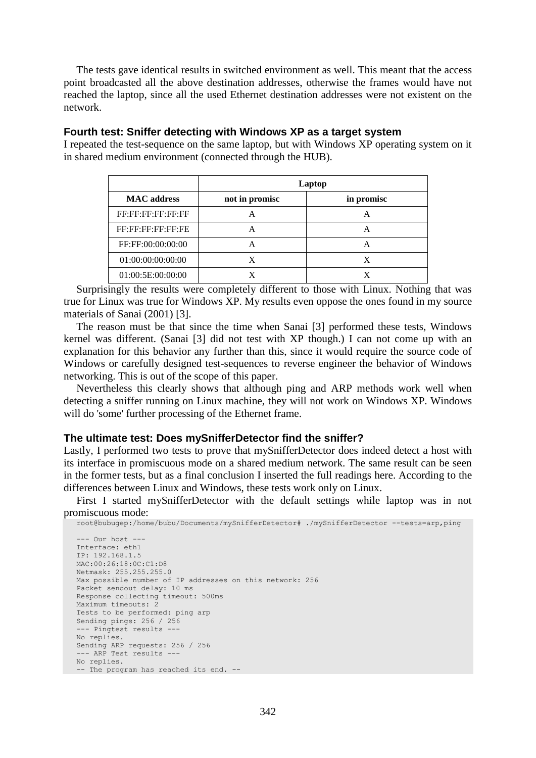The tests gave identical results in switched environment as well. This meant that the access point broadcasted all the above destination addresses, otherwise the frames would have not reached the laptop, since all the used Ethernet destination addresses were not existent on the network.

## **Fourth test: Sniffer detecting with Windows XP as a target system**

I repeated the test-sequence on the same laptop, but with Windows XP operating system on it in shared medium environment (connected through the HUB).

|                    |                | Laptop     |
|--------------------|----------------|------------|
| <b>MAC</b> address | not in promisc | in promisc |
| FF:FF:FF:FF:FF:FF  | А              | А          |
| FF:FF:FF:FF:FF:FE  | А              | А          |
| FF:FF:00:00:00:00  | А              | A          |
| 01:00:00:00:00:00  | X              | X          |
| 01:00:5E:00:00:00  |                |            |

Surprisingly the results were completely different to those with Linux. Nothing that was true for Linux was true for Windows XP. My results even oppose the ones found in my source materials of Sanai (2001) [3].

The reason must be that since the time when Sanai [3] performed these tests, Windows kernel was different. (Sanai [3] did not test with XP though.) I can not come up with an explanation for this behavior any further than this, since it would require the source code of Windows or carefully designed test-sequences to reverse engineer the behavior of Windows networking. This is out of the scope of this paper.

Nevertheless this clearly shows that although ping and ARP methods work well when detecting a sniffer running on Linux machine, they will not work on Windows XP. Windows will do 'some' further processing of the Ethernet frame.

#### **The ultimate test: Does mySnifferDetector find the sniffer?**

Lastly, I performed two tests to prove that mySnifferDetector does indeed detect a host with its interface in promiscuous mode on a shared medium network. The same result can be seen in the former tests, but as a final conclusion I inserted the full readings here. According to the differences between Linux and Windows, these tests work only on Linux.

First I started mySnifferDetector with the default settings while laptop was in not promiscuous mode:

```
root@bubugep:/home/bubu/Documents/mySnifferDetector# ./mySnifferDetector --tests=arp,ping
--- Our host ---
Interface: eth1
IP: 192.168.1.5
MAC:00:26:18:0C:C1:D8
Netmask: 255.255.255.0
Max possible number of IP addresses on this network: 256
Packet sendout delay: 10 ms
Response collecting timeout: 500ms
Maximum timeouts: 2
Tests to be performed: ping arp 
Sending pings: 256 / 256
--- Pingtest results ---
No replies.
Sending ARP requests: 256 / 256
--- ARP Test results ---
No replies.
-- The program has reached its end. --
```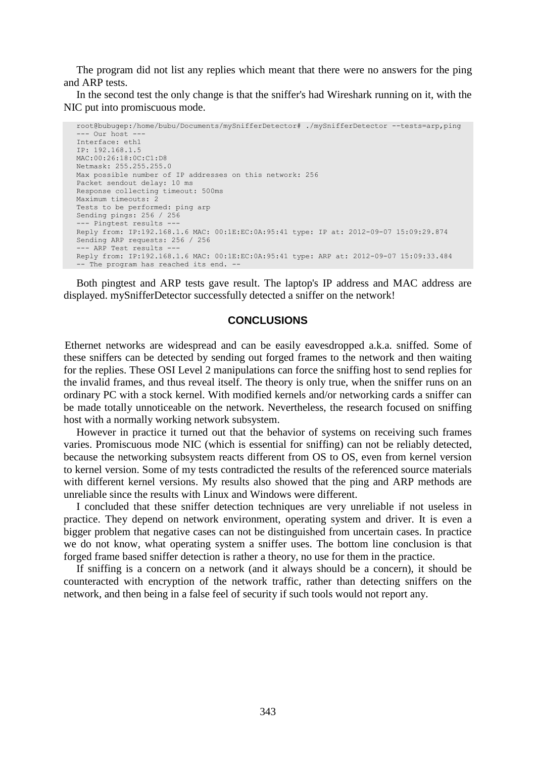The program did not list any replies which meant that there were no answers for the ping and ARP tests.

In the second test the only change is that the sniffer's had Wireshark running on it, with the NIC put into promiscuous mode.

```
root@bubugep:/home/bubu/Documents/mySnifferDetector# ./mySnifferDetector --tests=arp,ping
  - Our host
Interface: eth1
IP: 192.168.1.5
MAC:00:26:18:0C:C1:D8
Netmask: 255.255.255.0
Max possible number of IP addresses on this network: 256
Packet sendout delay: 10 ms
Response collecting timeout: 500ms
Maximum timeouts: 2
Tests to be performed: ping arp 
Sending pings: 256 / 256
--- Pingtest results ---
Reply from: IP:192.168.1.6 MAC: 00:1E:EC:0A:95:41 type: IP at: 2012-09-07 15:09:29.874
Sending ARP requests: 256 / 256
--- ARP Test results
Reply from: IP:192.168.1.6 MAC: 00:1E:EC:0A:95:41 type: ARP at: 2012-09-07 15:09:33.484
-- The program has reached its end. --
```
Both pingtest and ARP tests gave result. The laptop's IP address and MAC address are displayed. mySnifferDetector successfully detected a sniffer on the network!

#### **CONCLUSIONS**

Ethernet networks are widespread and can be easily eavesdropped a.k.a. sniffed. Some of these sniffers can be detected by sending out forged frames to the network and then waiting for the replies. These OSI Level 2 manipulations can force the sniffing host to send replies for the invalid frames, and thus reveal itself. The theory is only true, when the sniffer runs on an ordinary PC with a stock kernel. With modified kernels and/or networking cards a sniffer can be made totally unnoticeable on the network. Nevertheless, the research focused on sniffing host with a normally working network subsystem.

However in practice it turned out that the behavior of systems on receiving such frames varies. Promiscuous mode NIC (which is essential for sniffing) can not be reliably detected, because the networking subsystem reacts different from OS to OS, even from kernel version to kernel version. Some of my tests contradicted the results of the referenced source materials with different kernel versions. My results also showed that the ping and ARP methods are unreliable since the results with Linux and Windows were different.

I concluded that these sniffer detection techniques are very unreliable if not useless in practice. They depend on network environment, operating system and driver. It is even a bigger problem that negative cases can not be distinguished from uncertain cases. In practice we do not know, what operating system a sniffer uses. The bottom line conclusion is that forged frame based sniffer detection is rather a theory, no use for them in the practice.

If sniffing is a concern on a network (and it always should be a concern), it should be counteracted with encryption of the network traffic, rather than detecting sniffers on the network, and then being in a false feel of security if such tools would not report any.